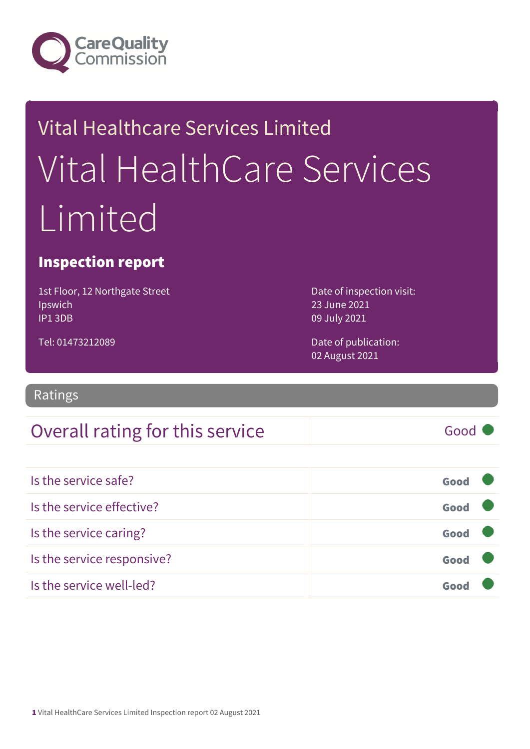

# Vital Healthcare Services Limited Vital HealthCare Services Limited

### Inspection report

1st Floor, 12 Northgate Street Ipswich IP1 3DB

23 June 2021 09 July 2021

Date of inspection visit:

Tel: 01473212089

Date of publication: 02 August 2021

Ratings

### Overall rating for this service and a service of the Good

Is the service safe? Good Is the service effective? Contact the service effective? Is the service caring? Good Is the service responsive? Good Is the service well-led? Good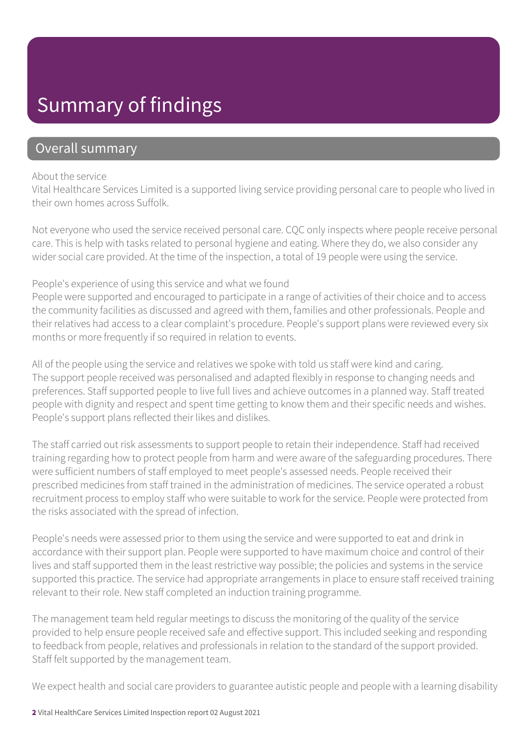### Summary of findings

### Overall summary

#### About the service

Vital Healthcare Services Limited is a supported living service providing personal care to people who lived in their own homes across Suffolk.

Not everyone who used the service received personal care. CQC only inspects where people receive personal care. This is help with tasks related to personal hygiene and eating. Where they do, we also consider any wider social care provided. At the time of the inspection, a total of 19 people were using the service.

### People's experience of using this service and what we found

People were supported and encouraged to participate in a range of activities of their choice and to access the community facilities as discussed and agreed with them, families and other professionals. People and their relatives had access to a clear complaint's procedure. People's support plans were reviewed every six months or more frequently if so required in relation to events.

All of the people using the service and relatives we spoke with told us staff were kind and caring. The support people received was personalised and adapted flexibly in response to changing needs and preferences. Staff supported people to live full lives and achieve outcomes in a planned way. Staff treated people with dignity and respect and spent time getting to know them and their specific needs and wishes. People's support plans reflected their likes and dislikes.

The staff carried out risk assessments to support people to retain their independence. Staff had received training regarding how to protect people from harm and were aware of the safeguarding procedures. There were sufficient numbers of staff employed to meet people's assessed needs. People received their prescribed medicines from staff trained in the administration of medicines. The service operated a robust recruitment process to employ staff who were suitable to work for the service. People were protected from the risks associated with the spread of infection.

People's needs were assessed prior to them using the service and were supported to eat and drink in accordance with their support plan. People were supported to have maximum choice and control of their lives and staff supported them in the least restrictive way possible; the policies and systems in the service supported this practice. The service had appropriate arrangements in place to ensure staff received training relevant to their role. New staff completed an induction training programme.

The management team held regular meetings to discuss the monitoring of the quality of the service provided to help ensure people received safe and effective support. This included seeking and responding to feedback from people, relatives and professionals in relation to the standard of the support provided. Staff felt supported by the management team.

We expect health and social care providers to guarantee autistic people and people with a learning disability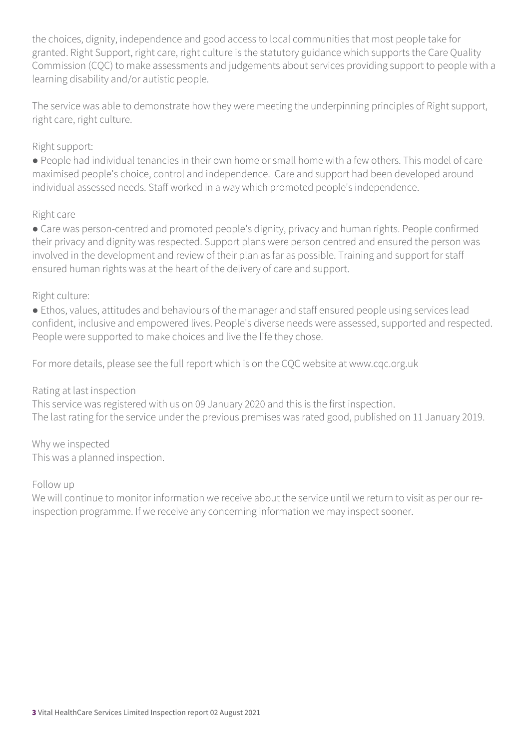the choices, dignity, independence and good access to local communities that most people take for granted. Right Support, right care, right culture is the statutory guidance which supports the Care Quality Commission (CQC) to make assessments and judgements about services providing support to people with a learning disability and/or autistic people.

The service was able to demonstrate how they were meeting the underpinning principles of Right support, right care, right culture.

### Right support:

● People had individual tenancies in their own home or small home with a few others. This model of care maximised people's choice, control and independence. Care and support had been developed around individual assessed needs. Staff worked in a way which promoted people's independence.

### Right care

• Care was person-centred and promoted people's dignity, privacy and human rights. People confirmed their privacy and dignity was respected. Support plans were person centred and ensured the person was involved in the development and review of their plan as far as possible. Training and support for staff ensured human rights was at the heart of the delivery of care and support.

### Right culture:

● Ethos, values, attitudes and behaviours of the manager and staff ensured people using services lead confident, inclusive and empowered lives. People's diverse needs were assessed, supported and respected. People were supported to make choices and live the life they chose.

For more details, please see the full report which is on the CQC website at www.cqc.org.uk

#### Rating at last inspection

This service was registered with us on 09 January 2020 and this is the first inspection. The last rating for the service under the previous premises was rated good, published on 11 January 2019.

Why we inspected This was a planned inspection.

#### Follow up

We will continue to monitor information we receive about the service until we return to visit as per our reinspection programme. If we receive any concerning information we may inspect sooner.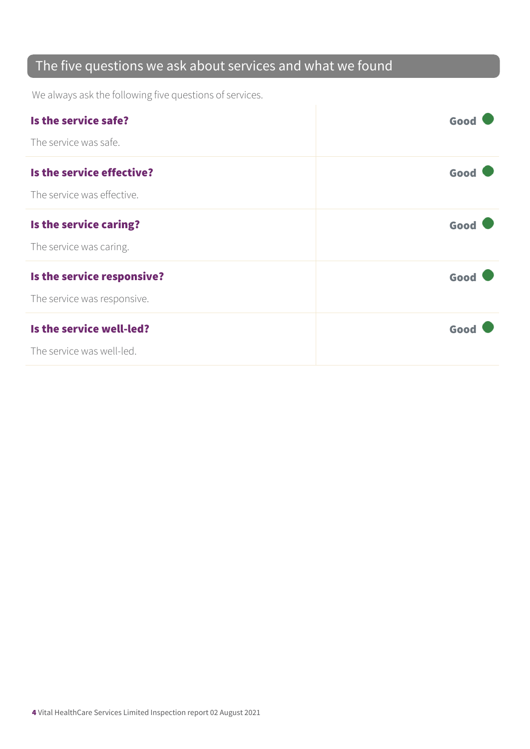### The five questions we ask about services and what we found

We always ask the following five questions of services.

| Is the service safe?        | Good |
|-----------------------------|------|
| The service was safe.       |      |
| Is the service effective?   | Good |
| The service was effective.  |      |
| Is the service caring?      | Good |
| The service was caring.     |      |
| Is the service responsive?  | Good |
| The service was responsive. |      |
| Is the service well-led?    | Good |
| The service was well-led.   |      |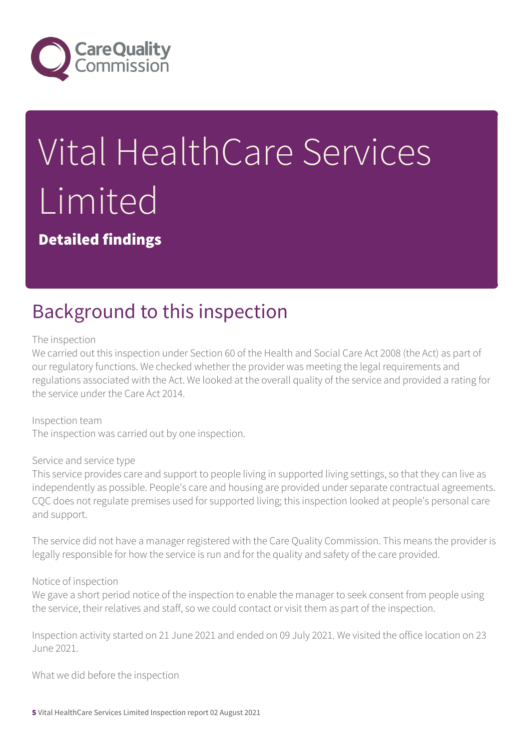

# Vital HealthCare Services Limited

Detailed findings

### Background to this inspection

The inspection

We carried out this inspection under Section 60 of the Health and Social Care Act 2008 (the Act) as part of our regulatory functions. We checked whether the provider was meeting the legal requirements and regulations associated with the Act. We looked at the overall quality of the service and provided a rating for the service under the Care Act 2014.

Inspection team The inspection was carried out by one inspection.

#### Service and service type

This service provides care and support to people living in supported living settings, so that they can live as independently as possible. People's care and housing are provided under separate contractual agreements. CQC does not regulate premises used for supported living; this inspection looked at people's personal care and support.

The service did not have a manager registered with the Care Quality Commission. This means the provider is legally responsible for how the service is run and for the quality and safety of the care provided.

#### Notice of inspection

We gave a short period notice of the inspection to enable the manager to seek consent from people using the service, their relatives and staff, so we could contact or visit them as part of the inspection.

Inspection activity started on 21 June 2021 and ended on 09 July 2021. We visited the office location on 23 June 2021.

What we did before the inspection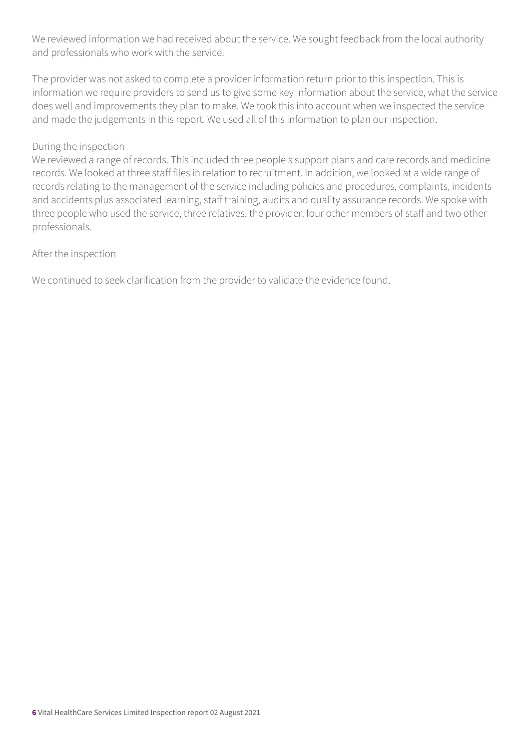We reviewed information we had received about the service. We sought feedback from the local authority and professionals who work with the service.

The provider was not asked to complete a provider information return prior to this inspection. This is information we require providers to send us to give some key information about the service, what the service does well and improvements they plan to make. We took this into account when we inspected the service and made the judgements in this report. We used all of this information to plan our inspection.

#### During the inspection

We reviewed a range of records. This included three people's support plans and care records and medicine records. We looked at three staff files in relation to recruitment. In addition, we looked at a wide range of records relating to the management of the service including policies and procedures, complaints, incidents and accidents plus associated learning, staff training, audits and quality assurance records. We spoke with three people who used the service, three relatives, the provider, four other members of staff and two other professionals.

#### After the inspection

We continued to seek clarification from the provider to validate the evidence found.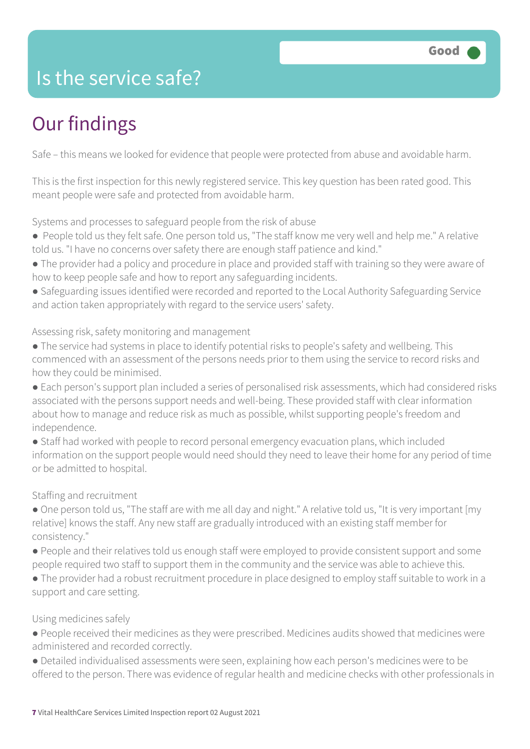### Is the service safe?

## Our findings

Safe – this means we looked for evidence that people were protected from abuse and avoidable harm.

This is the first inspection for this newly registered service. This key question has been rated good. This meant people were safe and protected from avoidable harm.

Systems and processes to safeguard people from the risk of abuse

- People told us they felt safe. One person told us, "The staff know me very well and help me." A relative told us. "I have no concerns over safety there are enough staff patience and kind."
- The provider had a policy and procedure in place and provided staff with training so they were aware of how to keep people safe and how to report any safeguarding incidents.
- Safeguarding issues identified were recorded and reported to the Local Authority Safeguarding Service and action taken appropriately with regard to the service users' safety.

### Assessing risk, safety monitoring and management

- The service had systems in place to identify potential risks to people's safety and wellbeing. This commenced with an assessment of the persons needs prior to them using the service to record risks and how they could be minimised.
- Each person's support plan included a series of personalised risk assessments, which had considered risks associated with the persons support needs and well-being. These provided staff with clear information about how to manage and reduce risk as much as possible, whilst supporting people's freedom and independence.
- Staff had worked with people to record personal emergency evacuation plans, which included information on the support people would need should they need to leave their home for any period of time or be admitted to hospital.

### Staffing and recruitment

- One person told us, "The staff are with me all day and night." A relative told us, "It is very important [my relative] knows the staff. Any new staff are gradually introduced with an existing staff member for consistency."
- People and their relatives told us enough staff were employed to provide consistent support and some people required two staff to support them in the community and the service was able to achieve this.
- The provider had a robust recruitment procedure in place designed to employ staff suitable to work in a support and care setting.

### Using medicines safely

- People received their medicines as they were prescribed. Medicines audits showed that medicines were administered and recorded correctly.
- Detailed individualised assessments were seen, explaining how each person's medicines were to be offered to the person. There was evidence of regular health and medicine checks with other professionals in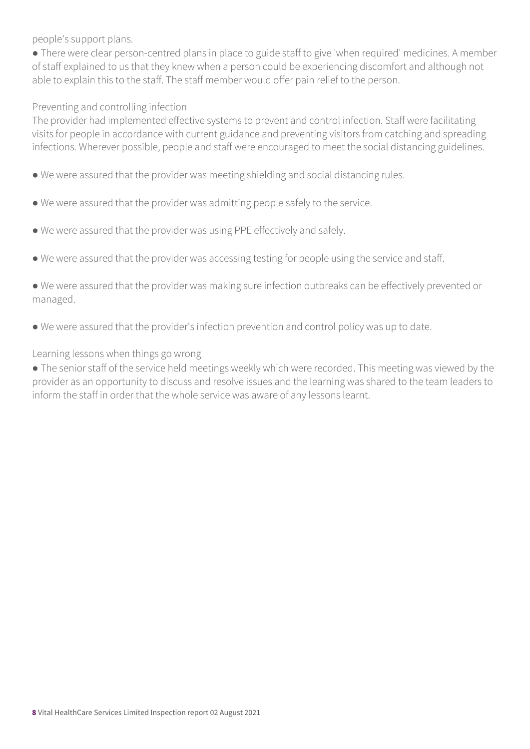people's support plans.

• There were clear person-centred plans in place to guide staff to give 'when required' medicines. A member of staff explained to us that they knew when a person could be experiencing discomfort and although not able to explain this to the staff. The staff member would offer pain relief to the person.

#### Preventing and controlling infection

The provider had implemented effective systems to prevent and control infection. Staff were facilitating visits for people in accordance with current guidance and preventing visitors from catching and spreading infections. Wherever possible, people and staff were encouraged to meet the social distancing guidelines.

- We were assured that the provider was meeting shielding and social distancing rules.
- We were assured that the provider was admitting people safely to the service.
- We were assured that the provider was using PPE effectively and safely.
- We were assured that the provider was accessing testing for people using the service and staff.

● We were assured that the provider was making sure infection outbreaks can be effectively prevented or managed.

● We were assured that the provider's infection prevention and control policy was up to date.

#### Learning lessons when things go wrong

• The senior staff of the service held meetings weekly which were recorded. This meeting was viewed by the provider as an opportunity to discuss and resolve issues and the learning was shared to the team leaders to inform the staff in order that the whole service was aware of any lessons learnt.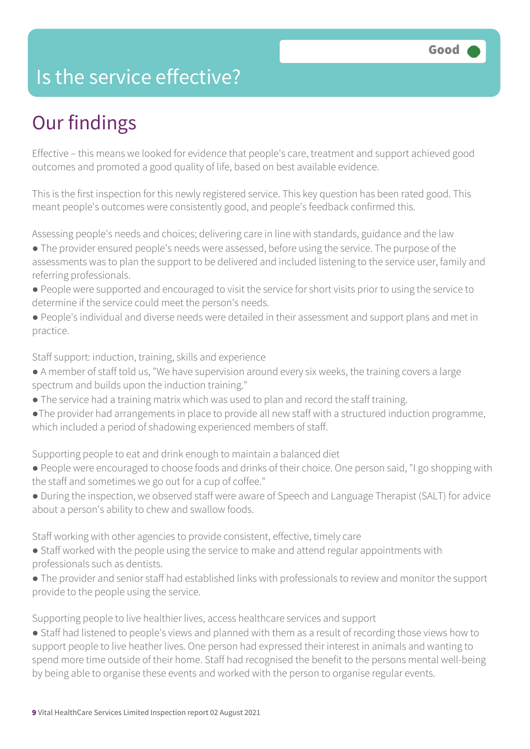### Is the service effective?

## Our findings

Effective – this means we looked for evidence that people's care, treatment and support achieved good outcomes and promoted a good quality of life, based on best available evidence.

This is the first inspection for this newly registered service. This key question has been rated good. This meant people's outcomes were consistently good, and people's feedback confirmed this.

Assessing people's needs and choices; delivering care in line with standards, guidance and the law

- The provider ensured people's needs were assessed, before using the service. The purpose of the assessments was to plan the support to be delivered and included listening to the service user, family and referring professionals.
- People were supported and encouraged to visit the service for short visits prior to using the service to determine if the service could meet the person's needs.
- People's individual and diverse needs were detailed in their assessment and support plans and met in practice.

Staff support: induction, training, skills and experience

- A member of staff told us, "We have supervision around every six weeks, the training covers a large spectrum and builds upon the induction training."
- The service had a training matrix which was used to plan and record the staff training.
- ●The provider had arrangements in place to provide all new staff with a structured induction programme, which included a period of shadowing experienced members of staff.

Supporting people to eat and drink enough to maintain a balanced diet

- People were encouraged to choose foods and drinks of their choice. One person said, "I go shopping with the staff and sometimes we go out for a cup of coffee."
- During the inspection, we observed staff were aware of Speech and Language Therapist (SALT) for advice about a person's ability to chew and swallow foods.

Staff working with other agencies to provide consistent, effective, timely care

- Staff worked with the people using the service to make and attend regular appointments with professionals such as dentists.
- The provider and senior staff had established links with professionals to review and monitor the support provide to the people using the service.

Supporting people to live healthier lives, access healthcare services and support

● Staff had listened to people's views and planned with them as a result of recording those views how to support people to live heather lives. One person had expressed their interest in animals and wanting to spend more time outside of their home. Staff had recognised the benefit to the persons mental well-being by being able to organise these events and worked with the person to organise regular events.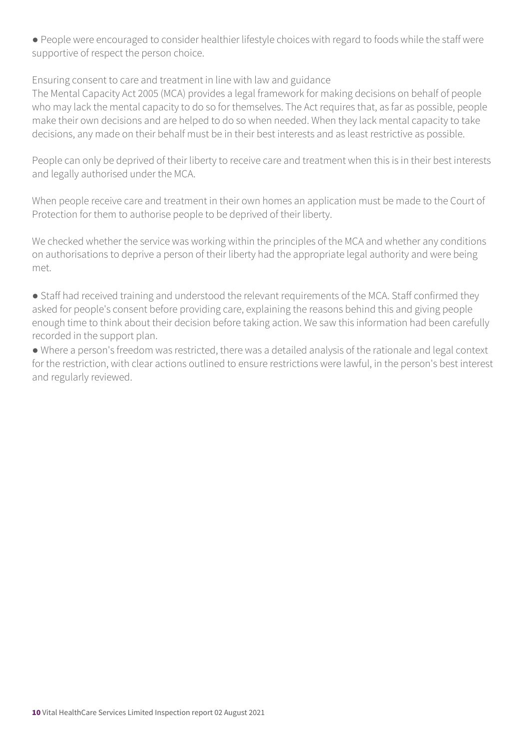● People were encouraged to consider healthier lifestyle choices with regard to foods while the staff were supportive of respect the person choice.

Ensuring consent to care and treatment in line with law and guidance

The Mental Capacity Act 2005 (MCA) provides a legal framework for making decisions on behalf of people who may lack the mental capacity to do so for themselves. The Act requires that, as far as possible, people make their own decisions and are helped to do so when needed. When they lack mental capacity to take decisions, any made on their behalf must be in their best interests and as least restrictive as possible.

People can only be deprived of their liberty to receive care and treatment when this is in their best interests and legally authorised under the MCA.

When people receive care and treatment in their own homes an application must be made to the Court of Protection for them to authorise people to be deprived of their liberty.

We checked whether the service was working within the principles of the MCA and whether any conditions on authorisations to deprive a person of their liberty had the appropriate legal authority and were being met.

● Staff had received training and understood the relevant requirements of the MCA. Staff confirmed they asked for people's consent before providing care, explaining the reasons behind this and giving people enough time to think about their decision before taking action. We saw this information had been carefully recorded in the support plan.

● Where a person's freedom was restricted, there was a detailed analysis of the rationale and legal context for the restriction, with clear actions outlined to ensure restrictions were lawful, in the person's best interest and regularly reviewed.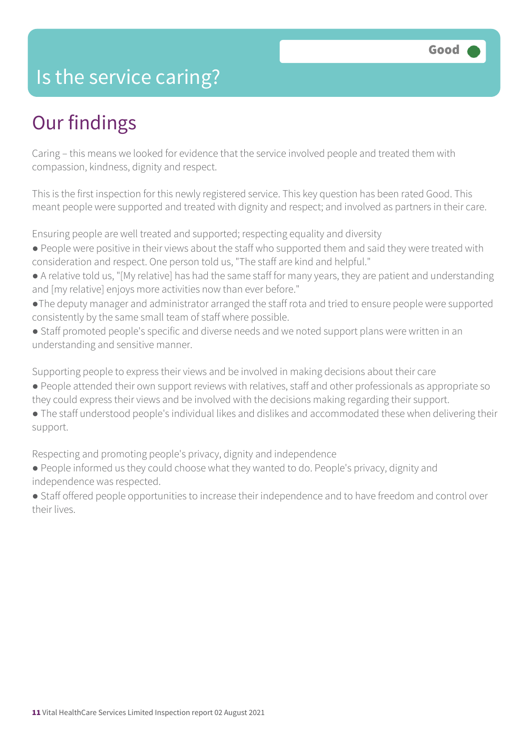### Is the service caring?

### Our findings

Caring – this means we looked for evidence that the service involved people and treated them with compassion, kindness, dignity and respect.

This is the first inspection for this newly registered service. This key question has been rated Good. This meant people were supported and treated with dignity and respect; and involved as partners in their care.

Ensuring people are well treated and supported; respecting equality and diversity

- People were positive in their views about the staff who supported them and said they were treated with consideration and respect. One person told us, "The staff are kind and helpful."
- A relative told us, "[My relative] has had the same staff for many years, they are patient and understanding and [my relative] enjoys more activities now than ever before."
- ●The deputy manager and administrator arranged the staff rota and tried to ensure people were supported consistently by the same small team of staff where possible.
- Staff promoted people's specific and diverse needs and we noted support plans were written in an understanding and sensitive manner.

Supporting people to express their views and be involved in making decisions about their care

- People attended their own support reviews with relatives, staff and other professionals as appropriate so they could express their views and be involved with the decisions making regarding their support.
- The staff understood people's individual likes and dislikes and accommodated these when delivering their support.

Respecting and promoting people's privacy, dignity and independence

● People informed us they could choose what they wanted to do. People's privacy, dignity and independence was respected.

● Staff offered people opportunities to increase their independence and to have freedom and control over their lives.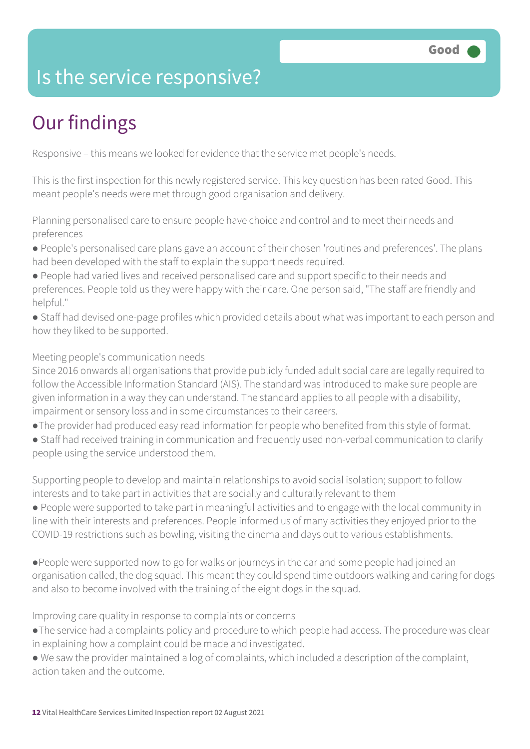### Is the service responsive?

# Our findings

Responsive – this means we looked for evidence that the service met people's needs.

This is the first inspection for this newly registered service. This key question has been rated Good. This meant people's needs were met through good organisation and delivery.

Planning personalised care to ensure people have choice and control and to meet their needs and preferences

- People's personalised care plans gave an account of their chosen 'routines and preferences'. The plans had been developed with the staff to explain the support needs required.
- People had varied lives and received personalised care and support specific to their needs and preferences. People told us they were happy with their care. One person said, "The staff are friendly and helpful."
- Staff had devised one-page profiles which provided details about what was important to each person and how they liked to be supported.

### Meeting people's communication needs

Since 2016 onwards all organisations that provide publicly funded adult social care are legally required to follow the Accessible Information Standard (AIS). The standard was introduced to make sure people are given information in a way they can understand. The standard applies to all people with a disability, impairment or sensory loss and in some circumstances to their careers.

- ●The provider had produced easy read information for people who benefited from this style of format.
- Staff had received training in communication and frequently used non-verbal communication to clarify people using the service understood them.

Supporting people to develop and maintain relationships to avoid social isolation; support to follow interests and to take part in activities that are socially and culturally relevant to them

● People were supported to take part in meaningful activities and to engage with the local community in line with their interests and preferences. People informed us of many activities they enjoyed prior to the COVID-19 restrictions such as bowling, visiting the cinema and days out to various establishments.

●People were supported now to go for walks or journeys in the car and some people had joined an organisation called, the dog squad. This meant they could spend time outdoors walking and caring for dogs and also to become involved with the training of the eight dogs in the squad.

Improving care quality in response to complaints or concerns

- ●The service had a complaints policy and procedure to which people had access. The procedure was clear in explaining how a complaint could be made and investigated.
- We saw the provider maintained a log of complaints, which included a description of the complaint, action taken and the outcome.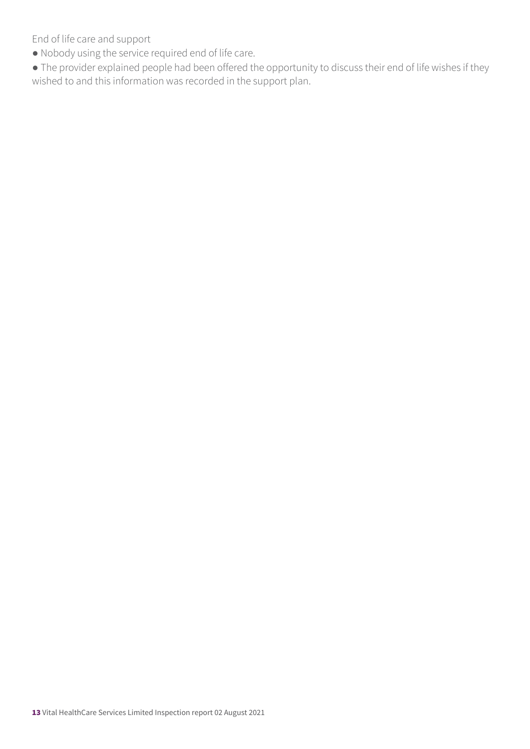End of life care and support

- Nobody using the service required end of life care.
- The provider explained people had been offered the opportunity to discuss their end of life wishes if they wished to and this information was recorded in the support plan.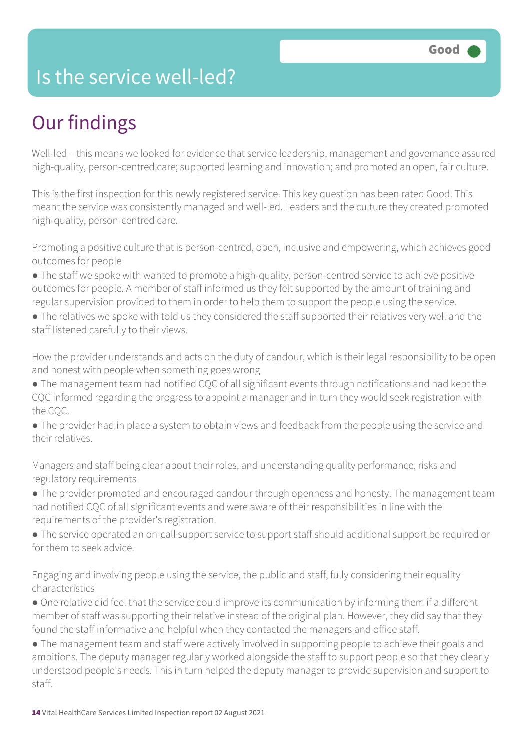### Is the service well-led?

## Our findings

Well-led – this means we looked for evidence that service leadership, management and governance assured high-quality, person-centred care; supported learning and innovation; and promoted an open, fair culture.

This is the first inspection for this newly registered service. This key question has been rated Good. This meant the service was consistently managed and well-led. Leaders and the culture they created promoted high-quality, person-centred care.

Promoting a positive culture that is person-centred, open, inclusive and empowering, which achieves good outcomes for people

- The staff we spoke with wanted to promote a high-quality, person-centred service to achieve positive outcomes for people. A member of staff informed us they felt supported by the amount of training and regular supervision provided to them in order to help them to support the people using the service.
- The relatives we spoke with told us they considered the staff supported their relatives very well and the staff listened carefully to their views.

How the provider understands and acts on the duty of candour, which is their legal responsibility to be open and honest with people when something goes wrong

- The management team had notified CQC of all significant events through notifications and had kept the CQC informed regarding the progress to appoint a manager and in turn they would seek registration with the CQC.
- The provider had in place a system to obtain views and feedback from the people using the service and their relatives.

Managers and staff being clear about their roles, and understanding quality performance, risks and regulatory requirements

- The provider promoted and encouraged candour through openness and honesty. The management team had notified CQC of all significant events and were aware of their responsibilities in line with the requirements of the provider's registration.
- The service operated an on-call support service to support staff should additional support be required or for them to seek advice.

Engaging and involving people using the service, the public and staff, fully considering their equality characteristics

- One relative did feel that the service could improve its communication by informing them if a different member of staff was supporting their relative instead of the original plan. However, they did say that they found the staff informative and helpful when they contacted the managers and office staff.
- The management team and staff were actively involved in supporting people to achieve their goals and ambitions. The deputy manager regularly worked alongside the staff to support people so that they clearly understood people's needs. This in turn helped the deputy manager to provide supervision and support to staff.